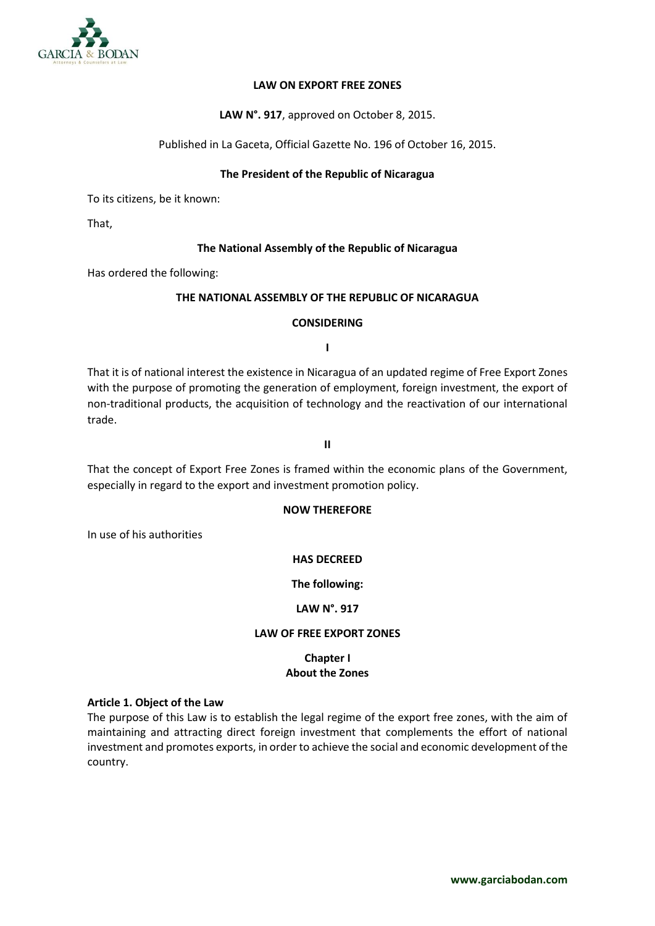

### **LAW ON EXPORT FREE ZONES**

### **LAW N°. 917**, approved on October 8, 2015.

Published in La Gaceta, Official Gazette No. 196 of October 16, 2015.

### **The President of the Republic of Nicaragua**

To its citizens, be it known:

That,

### **The National Assembly of the Republic of Nicaragua**

Has ordered the following:

### **THE NATIONAL ASSEMBLY OF THE REPUBLIC OF NICARAGUA**

### **CONSIDERING**

**I**

That it is of national interest the existence in Nicaragua of an updated regime of Free Export Zones with the purpose of promoting the generation of employment, foreign investment, the export of non-traditional products, the acquisition of technology and the reactivation of our international trade.

**II**

That the concept of Export Free Zones is framed within the economic plans of the Government, especially in regard to the export and investment promotion policy.

#### **NOW THEREFORE**

In use of his authorities

# **HAS DECREED**

**The following:**

## **LAW N°. 917**

## **LAW OF FREE EXPORT ZONES**

# **Chapter I About the Zones**

#### **Article 1. Object of the Law**

The purpose of this Law is to establish the legal regime of the export free zones, with the aim of maintaining and attracting direct foreign investment that complements the effort of national investment and promotes exports, in order to achieve the social and economic development of the country.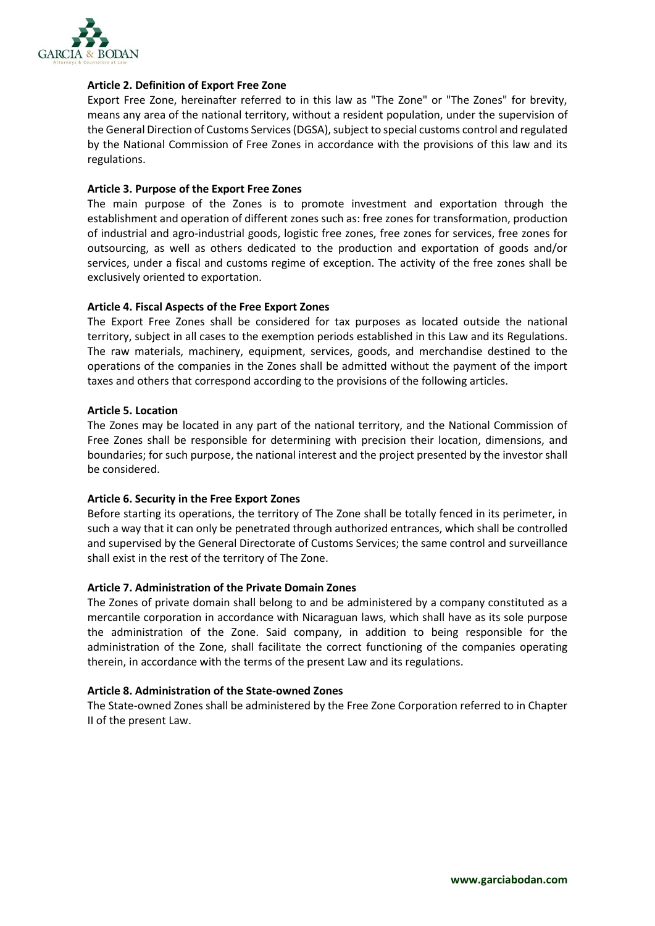

### **Article 2. Definition of Export Free Zone**

Export Free Zone, hereinafter referred to in this law as "The Zone" or "The Zones" for brevity, means any area of the national territory, without a resident population, under the supervision of the General Direction of Customs Services (DGSA), subject to special customs control and regulated by the National Commission of Free Zones in accordance with the provisions of this law and its regulations.

### **Article 3. Purpose of the Export Free Zones**

The main purpose of the Zones is to promote investment and exportation through the establishment and operation of different zones such as: free zones for transformation, production of industrial and agro-industrial goods, logistic free zones, free zones for services, free zones for outsourcing, as well as others dedicated to the production and exportation of goods and/or services, under a fiscal and customs regime of exception. The activity of the free zones shall be exclusively oriented to exportation.

### **Article 4. Fiscal Aspects of the Free Export Zones**

The Export Free Zones shall be considered for tax purposes as located outside the national territory, subject in all cases to the exemption periods established in this Law and its Regulations. The raw materials, machinery, equipment, services, goods, and merchandise destined to the operations of the companies in the Zones shall be admitted without the payment of the import taxes and others that correspond according to the provisions of the following articles.

### **Article 5. Location**

The Zones may be located in any part of the national territory, and the National Commission of Free Zones shall be responsible for determining with precision their location, dimensions, and boundaries; for such purpose, the national interest and the project presented by the investor shall be considered.

## **Article 6. Security in the Free Export Zones**

Before starting its operations, the territory of The Zone shall be totally fenced in its perimeter, in such a way that it can only be penetrated through authorized entrances, which shall be controlled and supervised by the General Directorate of Customs Services; the same control and surveillance shall exist in the rest of the territory of The Zone.

## **Article 7. Administration of the Private Domain Zones**

The Zones of private domain shall belong to and be administered by a company constituted as a mercantile corporation in accordance with Nicaraguan laws, which shall have as its sole purpose the administration of the Zone. Said company, in addition to being responsible for the administration of the Zone, shall facilitate the correct functioning of the companies operating therein, in accordance with the terms of the present Law and its regulations.

## **Article 8. Administration of the State-owned Zones**

The State-owned Zones shall be administered by the Free Zone Corporation referred to in Chapter II of the present Law.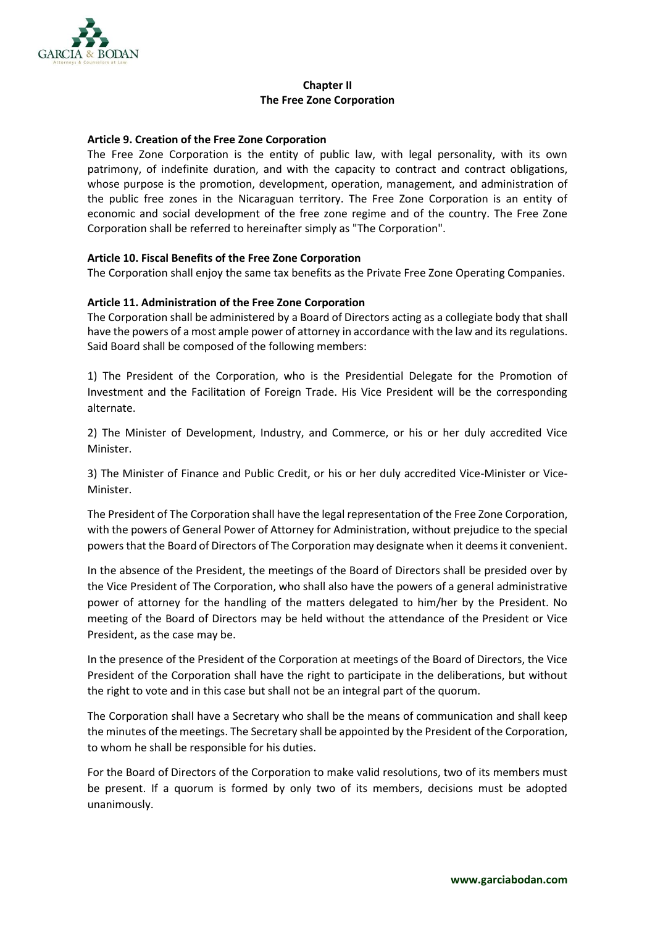

## **Chapter II The Free Zone Corporation**

## **Article 9. Creation of the Free Zone Corporation**

The Free Zone Corporation is the entity of public law, with legal personality, with its own patrimony, of indefinite duration, and with the capacity to contract and contract obligations, whose purpose is the promotion, development, operation, management, and administration of the public free zones in the Nicaraguan territory. The Free Zone Corporation is an entity of economic and social development of the free zone regime and of the country. The Free Zone Corporation shall be referred to hereinafter simply as "The Corporation".

# **Article 10. Fiscal Benefits of the Free Zone Corporation**

The Corporation shall enjoy the same tax benefits as the Private Free Zone Operating Companies.

# **Article 11. Administration of the Free Zone Corporation**

The Corporation shall be administered by a Board of Directors acting as a collegiate body that shall have the powers of a most ample power of attorney in accordance with the law and its regulations. Said Board shall be composed of the following members:

1) The President of the Corporation, who is the Presidential Delegate for the Promotion of Investment and the Facilitation of Foreign Trade. His Vice President will be the corresponding alternate.

2) The Minister of Development, Industry, and Commerce, or his or her duly accredited Vice Minister.

3) The Minister of Finance and Public Credit, or his or her duly accredited Vice-Minister or Vice-Minister.

The President of The Corporation shall have the legal representation of the Free Zone Corporation, with the powers of General Power of Attorney for Administration, without prejudice to the special powers that the Board of Directors of The Corporation may designate when it deems it convenient.

In the absence of the President, the meetings of the Board of Directors shall be presided over by the Vice President of The Corporation, who shall also have the powers of a general administrative power of attorney for the handling of the matters delegated to him/her by the President. No meeting of the Board of Directors may be held without the attendance of the President or Vice President, as the case may be.

In the presence of the President of the Corporation at meetings of the Board of Directors, the Vice President of the Corporation shall have the right to participate in the deliberations, but without the right to vote and in this case but shall not be an integral part of the quorum.

The Corporation shall have a Secretary who shall be the means of communication and shall keep the minutes of the meetings. The Secretary shall be appointed by the President of the Corporation, to whom he shall be responsible for his duties.

For the Board of Directors of the Corporation to make valid resolutions, two of its members must be present. If a quorum is formed by only two of its members, decisions must be adopted unanimously.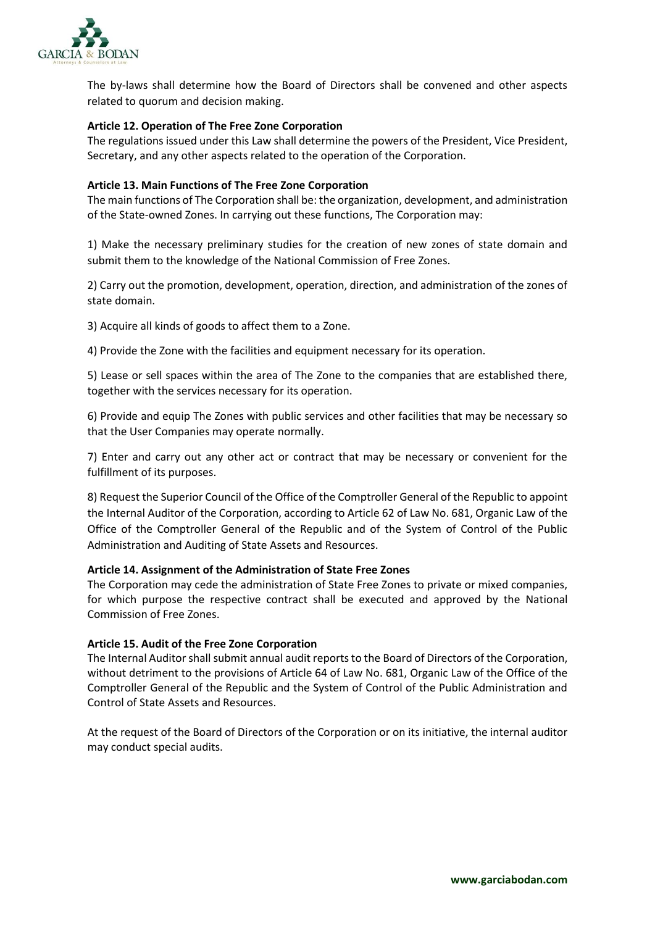

The by-laws shall determine how the Board of Directors shall be convened and other aspects related to quorum and decision making.

## **Article 12. Operation of The Free Zone Corporation**

The regulations issued under this Law shall determine the powers of the President, Vice President, Secretary, and any other aspects related to the operation of the Corporation.

### **Article 13. Main Functions of The Free Zone Corporation**

The main functions of The Corporation shall be: the organization, development, and administration of the State-owned Zones. In carrying out these functions, The Corporation may:

1) Make the necessary preliminary studies for the creation of new zones of state domain and submit them to the knowledge of the National Commission of Free Zones.

2) Carry out the promotion, development, operation, direction, and administration of the zones of state domain.

3) Acquire all kinds of goods to affect them to a Zone.

4) Provide the Zone with the facilities and equipment necessary for its operation.

5) Lease or sell spaces within the area of The Zone to the companies that are established there, together with the services necessary for its operation.

6) Provide and equip The Zones with public services and other facilities that may be necessary so that the User Companies may operate normally.

7) Enter and carry out any other act or contract that may be necessary or convenient for the fulfillment of its purposes.

8) Request the Superior Council of the Office of the Comptroller General of the Republic to appoint the Internal Auditor of the Corporation, according to Article 62 of Law No. 681, Organic Law of the Office of the Comptroller General of the Republic and of the System of Control of the Public Administration and Auditing of State Assets and Resources.

## **Article 14. Assignment of the Administration of State Free Zones**

The Corporation may cede the administration of State Free Zones to private or mixed companies, for which purpose the respective contract shall be executed and approved by the National Commission of Free Zones.

## **Article 15. Audit of the Free Zone Corporation**

The Internal Auditor shall submit annual audit reports to the Board of Directors of the Corporation, without detriment to the provisions of Article 64 of Law No. 681, Organic Law of the Office of the Comptroller General of the Republic and the System of Control of the Public Administration and Control of State Assets and Resources.

At the request of the Board of Directors of the Corporation or on its initiative, the internal auditor may conduct special audits.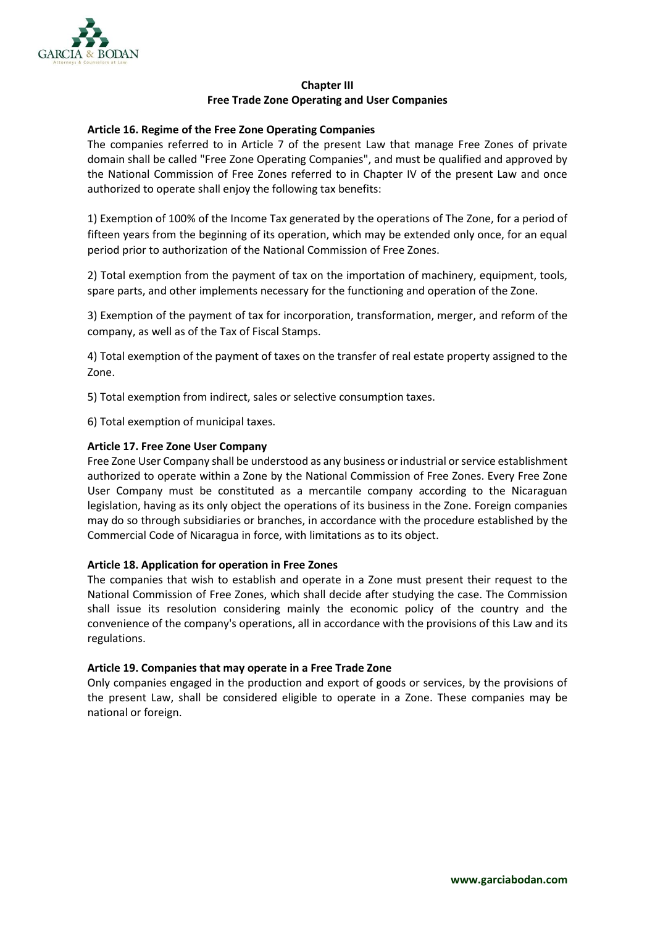

## **Chapter III Free Trade Zone Operating and User Companies**

## **Article 16. Regime of the Free Zone Operating Companies**

The companies referred to in Article 7 of the present Law that manage Free Zones of private domain shall be called "Free Zone Operating Companies", and must be qualified and approved by the National Commission of Free Zones referred to in Chapter IV of the present Law and once authorized to operate shall enjoy the following tax benefits:

1) Exemption of 100% of the Income Tax generated by the operations of The Zone, for a period of fifteen years from the beginning of its operation, which may be extended only once, for an equal period prior to authorization of the National Commission of Free Zones.

2) Total exemption from the payment of tax on the importation of machinery, equipment, tools, spare parts, and other implements necessary for the functioning and operation of the Zone.

3) Exemption of the payment of tax for incorporation, transformation, merger, and reform of the company, as well as of the Tax of Fiscal Stamps.

4) Total exemption of the payment of taxes on the transfer of real estate property assigned to the Zone.

5) Total exemption from indirect, sales or selective consumption taxes.

6) Total exemption of municipal taxes.

### **Article 17. Free Zone User Company**

Free Zone User Company shall be understood as any business or industrial or service establishment authorized to operate within a Zone by the National Commission of Free Zones. Every Free Zone User Company must be constituted as a mercantile company according to the Nicaraguan legislation, having as its only object the operations of its business in the Zone. Foreign companies may do so through subsidiaries or branches, in accordance with the procedure established by the Commercial Code of Nicaragua in force, with limitations as to its object.

## **Article 18. Application for operation in Free Zones**

The companies that wish to establish and operate in a Zone must present their request to the National Commission of Free Zones, which shall decide after studying the case. The Commission shall issue its resolution considering mainly the economic policy of the country and the convenience of the company's operations, all in accordance with the provisions of this Law and its regulations.

## **Article 19. Companies that may operate in a Free Trade Zone**

Only companies engaged in the production and export of goods or services, by the provisions of the present Law, shall be considered eligible to operate in a Zone. These companies may be national or foreign.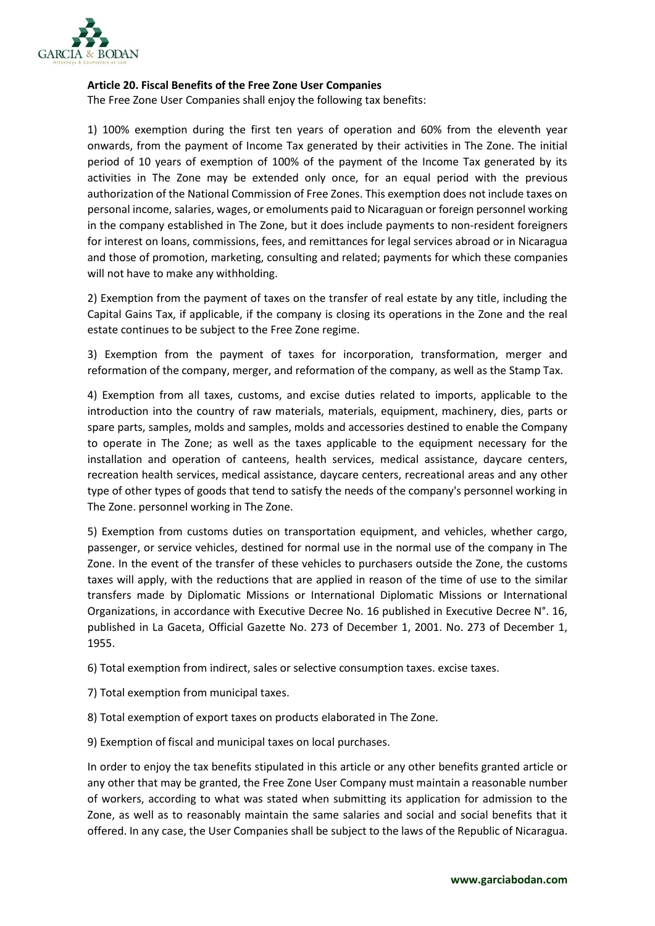

## **Article 20. Fiscal Benefits of the Free Zone User Companies**

The Free Zone User Companies shall enjoy the following tax benefits:

1) 100% exemption during the first ten years of operation and 60% from the eleventh year onwards, from the payment of Income Tax generated by their activities in The Zone. The initial period of 10 years of exemption of 100% of the payment of the Income Tax generated by its activities in The Zone may be extended only once, for an equal period with the previous authorization of the National Commission of Free Zones. This exemption does not include taxes on personal income, salaries, wages, or emoluments paid to Nicaraguan or foreign personnel working in the company established in The Zone, but it does include payments to non-resident foreigners for interest on loans, commissions, fees, and remittances for legal services abroad or in Nicaragua and those of promotion, marketing, consulting and related; payments for which these companies will not have to make any withholding.

2) Exemption from the payment of taxes on the transfer of real estate by any title, including the Capital Gains Tax, if applicable, if the company is closing its operations in the Zone and the real estate continues to be subject to the Free Zone regime.

3) Exemption from the payment of taxes for incorporation, transformation, merger and reformation of the company, merger, and reformation of the company, as well as the Stamp Tax.

4) Exemption from all taxes, customs, and excise duties related to imports, applicable to the introduction into the country of raw materials, materials, equipment, machinery, dies, parts or spare parts, samples, molds and samples, molds and accessories destined to enable the Company to operate in The Zone; as well as the taxes applicable to the equipment necessary for the installation and operation of canteens, health services, medical assistance, daycare centers, recreation health services, medical assistance, daycare centers, recreational areas and any other type of other types of goods that tend to satisfy the needs of the company's personnel working in The Zone. personnel working in The Zone.

5) Exemption from customs duties on transportation equipment, and vehicles, whether cargo, passenger, or service vehicles, destined for normal use in the normal use of the company in The Zone. In the event of the transfer of these vehicles to purchasers outside the Zone, the customs taxes will apply, with the reductions that are applied in reason of the time of use to the similar transfers made by Diplomatic Missions or International Diplomatic Missions or International Organizations, in accordance with Executive Decree No. 16 published in Executive Decree N°. 16, published in La Gaceta, Official Gazette No. 273 of December 1, 2001. No. 273 of December 1, 1955.

6) Total exemption from indirect, sales or selective consumption taxes. excise taxes.

- 7) Total exemption from municipal taxes.
- 8) Total exemption of export taxes on products elaborated in The Zone.
- 9) Exemption of fiscal and municipal taxes on local purchases.

In order to enjoy the tax benefits stipulated in this article or any other benefits granted article or any other that may be granted, the Free Zone User Company must maintain a reasonable number of workers, according to what was stated when submitting its application for admission to the Zone, as well as to reasonably maintain the same salaries and social and social benefits that it offered. In any case, the User Companies shall be subject to the laws of the Republic of Nicaragua.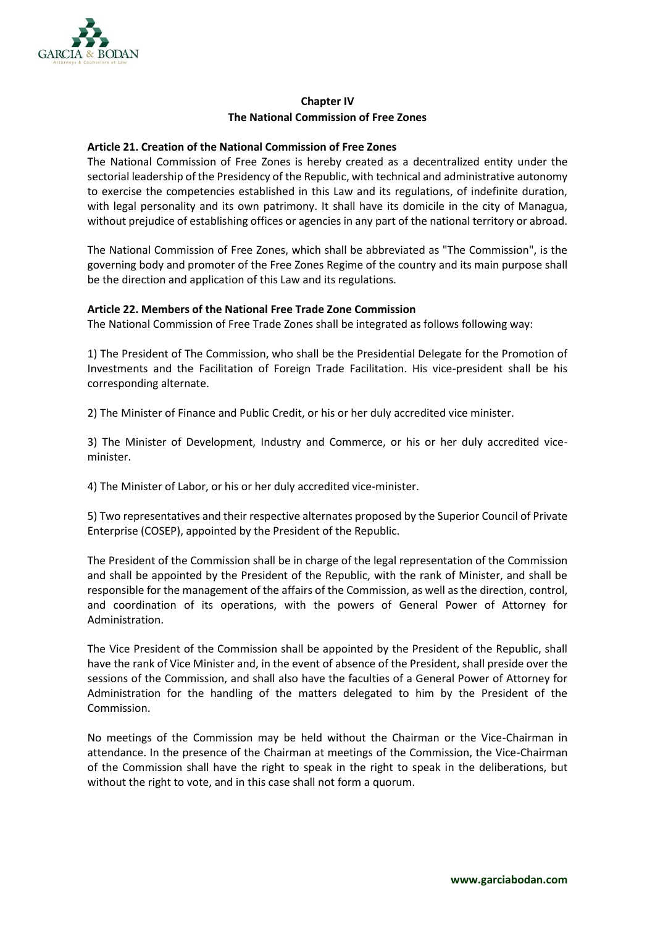

# **Chapter IV The National Commission of Free Zones**

## **Article 21. Creation of the National Commission of Free Zones**

The National Commission of Free Zones is hereby created as a decentralized entity under the sectorial leadership of the Presidency of the Republic, with technical and administrative autonomy to exercise the competencies established in this Law and its regulations, of indefinite duration, with legal personality and its own patrimony. It shall have its domicile in the city of Managua, without prejudice of establishing offices or agencies in any part of the national territory or abroad.

The National Commission of Free Zones, which shall be abbreviated as "The Commission", is the governing body and promoter of the Free Zones Regime of the country and its main purpose shall be the direction and application of this Law and its regulations.

## **Article 22. Members of the National Free Trade Zone Commission**

The National Commission of Free Trade Zones shall be integrated as follows following way:

1) The President of The Commission, who shall be the Presidential Delegate for the Promotion of Investments and the Facilitation of Foreign Trade Facilitation. His vice-president shall be his corresponding alternate.

2) The Minister of Finance and Public Credit, or his or her duly accredited vice minister.

3) The Minister of Development, Industry and Commerce, or his or her duly accredited viceminister.

4) The Minister of Labor, or his or her duly accredited vice-minister.

5) Two representatives and their respective alternates proposed by the Superior Council of Private Enterprise (COSEP), appointed by the President of the Republic.

The President of the Commission shall be in charge of the legal representation of the Commission and shall be appointed by the President of the Republic, with the rank of Minister, and shall be responsible for the management of the affairs of the Commission, as well as the direction, control, and coordination of its operations, with the powers of General Power of Attorney for Administration.

The Vice President of the Commission shall be appointed by the President of the Republic, shall have the rank of Vice Minister and, in the event of absence of the President, shall preside over the sessions of the Commission, and shall also have the faculties of a General Power of Attorney for Administration for the handling of the matters delegated to him by the President of the Commission.

No meetings of the Commission may be held without the Chairman or the Vice-Chairman in attendance. In the presence of the Chairman at meetings of the Commission, the Vice-Chairman of the Commission shall have the right to speak in the right to speak in the deliberations, but without the right to vote, and in this case shall not form a quorum.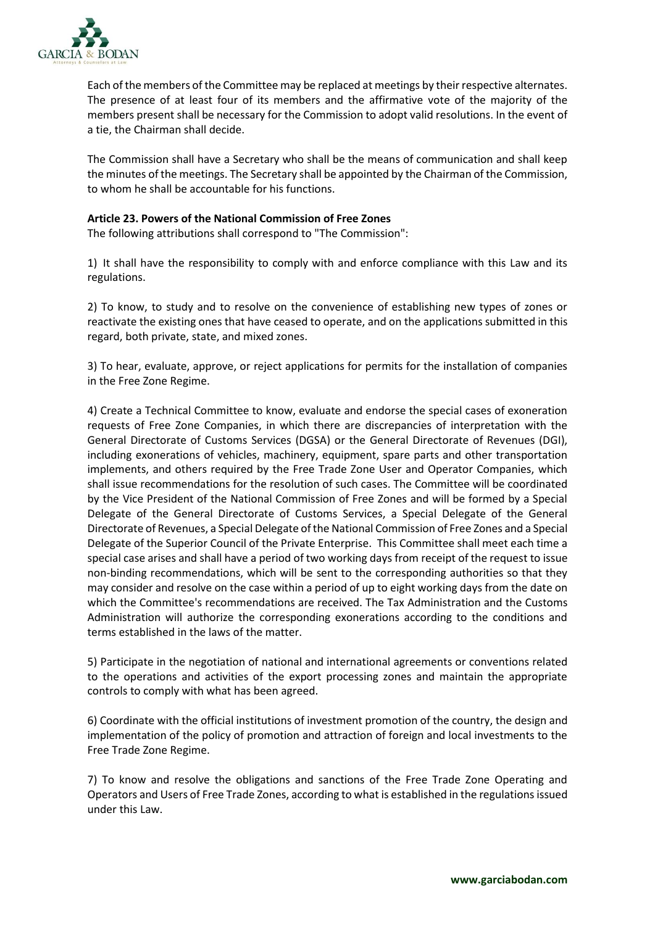

Each of the members of the Committee may be replaced at meetings by their respective alternates. The presence of at least four of its members and the affirmative vote of the majority of the members present shall be necessary for the Commission to adopt valid resolutions. In the event of a tie, the Chairman shall decide.

The Commission shall have a Secretary who shall be the means of communication and shall keep the minutes of the meetings. The Secretary shall be appointed by the Chairman of the Commission, to whom he shall be accountable for his functions.

### **Article 23. Powers of the National Commission of Free Zones**

The following attributions shall correspond to "The Commission":

1) It shall have the responsibility to comply with and enforce compliance with this Law and its regulations.

2) To know, to study and to resolve on the convenience of establishing new types of zones or reactivate the existing ones that have ceased to operate, and on the applications submitted in this regard, both private, state, and mixed zones.

3) To hear, evaluate, approve, or reject applications for permits for the installation of companies in the Free Zone Regime.

4) Create a Technical Committee to know, evaluate and endorse the special cases of exoneration requests of Free Zone Companies, in which there are discrepancies of interpretation with the General Directorate of Customs Services (DGSA) or the General Directorate of Revenues (DGI), including exonerations of vehicles, machinery, equipment, spare parts and other transportation implements, and others required by the Free Trade Zone User and Operator Companies, which shall issue recommendations for the resolution of such cases. The Committee will be coordinated by the Vice President of the National Commission of Free Zones and will be formed by a Special Delegate of the General Directorate of Customs Services, a Special Delegate of the General Directorate of Revenues, a Special Delegate of the National Commission of Free Zones and a Special Delegate of the Superior Council of the Private Enterprise. This Committee shall meet each time a special case arises and shall have a period of two working days from receipt of the request to issue non-binding recommendations, which will be sent to the corresponding authorities so that they may consider and resolve on the case within a period of up to eight working days from the date on which the Committee's recommendations are received. The Tax Administration and the Customs Administration will authorize the corresponding exonerations according to the conditions and terms established in the laws of the matter.

5) Participate in the negotiation of national and international agreements or conventions related to the operations and activities of the export processing zones and maintain the appropriate controls to comply with what has been agreed.

6) Coordinate with the official institutions of investment promotion of the country, the design and implementation of the policy of promotion and attraction of foreign and local investments to the Free Trade Zone Regime.

7) To know and resolve the obligations and sanctions of the Free Trade Zone Operating and Operators and Users of Free Trade Zones, according to what is established in the regulations issued under this Law.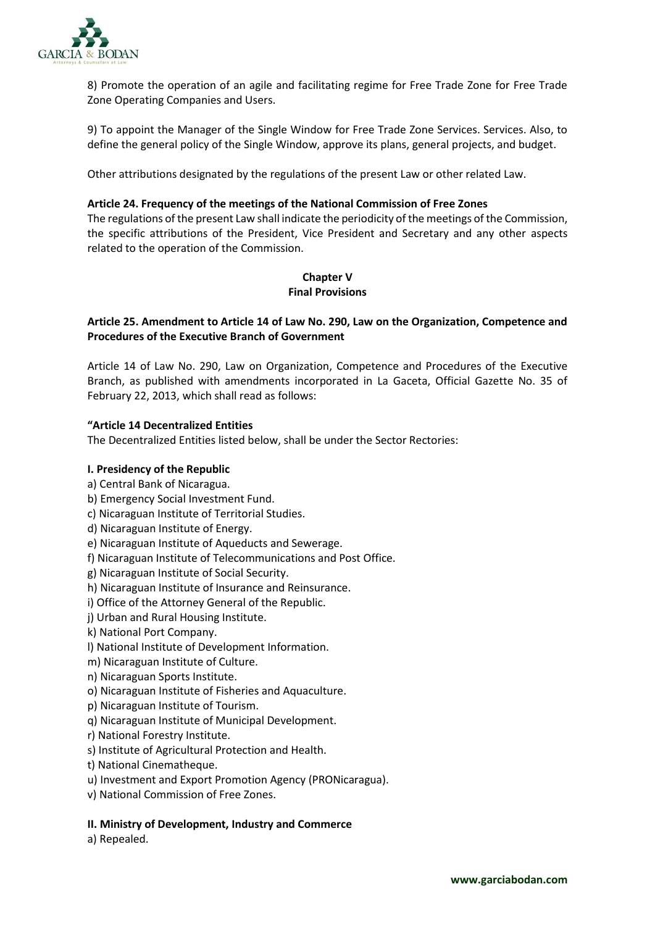

8) Promote the operation of an agile and facilitating regime for Free Trade Zone for Free Trade Zone Operating Companies and Users.

9) To appoint the Manager of the Single Window for Free Trade Zone Services. Services. Also, to define the general policy of the Single Window, approve its plans, general projects, and budget.

Other attributions designated by the regulations of the present Law or other related Law.

### **Article 24. Frequency of the meetings of the National Commission of Free Zones**

The regulations of the present Law shall indicate the periodicity of the meetings of the Commission, the specific attributions of the President, Vice President and Secretary and any other aspects related to the operation of the Commission.

# **Chapter V Final Provisions**

# **Article 25. Amendment to Article 14 of Law No. 290, Law on the Organization, Competence and Procedures of the Executive Branch of Government**

Article 14 of Law No. 290, Law on Organization, Competence and Procedures of the Executive Branch, as published with amendments incorporated in La Gaceta, Official Gazette No. 35 of February 22, 2013, which shall read as follows:

### **"Article 14 Decentralized Entities**

The Decentralized Entities listed below, shall be under the Sector Rectories:

## **I. Presidency of the Republic**

- a) Central Bank of Nicaragua.
- b) Emergency Social Investment Fund.
- c) Nicaraguan Institute of Territorial Studies.
- d) Nicaraguan Institute of Energy.
- e) Nicaraguan Institute of Aqueducts and Sewerage.
- f) Nicaraguan Institute of Telecommunications and Post Office.
- g) Nicaraguan Institute of Social Security.
- h) Nicaraguan Institute of Insurance and Reinsurance.
- i) Office of the Attorney General of the Republic.
- j) Urban and Rural Housing Institute.
- k) National Port Company.
- l) National Institute of Development Information.
- m) Nicaraguan Institute of Culture.
- n) Nicaraguan Sports Institute.
- o) Nicaraguan Institute of Fisheries and Aquaculture.
- p) Nicaraguan Institute of Tourism.
- q) Nicaraguan Institute of Municipal Development.
- r) National Forestry Institute.
- s) Institute of Agricultural Protection and Health.
- t) National Cinematheque.
- u) Investment and Export Promotion Agency (PRONicaragua).
- v) National Commission of Free Zones.

## **II. Ministry of Development, Industry and Commerce**

a) Repealed.